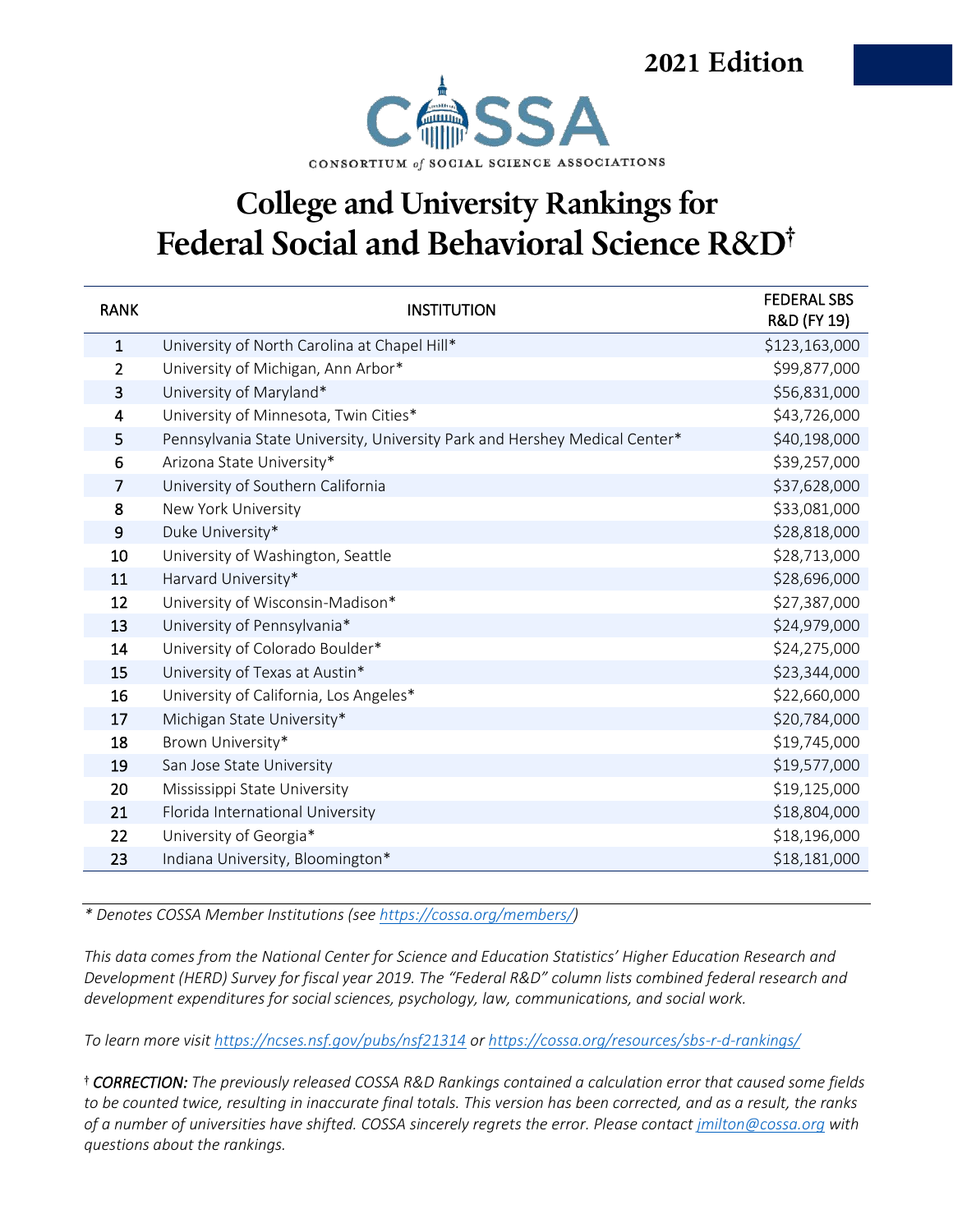2021 Edition



#### **College and University Rankings for** Federal Social and Behavioral Science R&D<sup>†</sup>

| <b>RANK</b>    | <b>INSTITUTION</b>                                                         | <b>FEDERAL SBS</b><br>R&D (FY 19) |
|----------------|----------------------------------------------------------------------------|-----------------------------------|
| $\mathbf{1}$   | University of North Carolina at Chapel Hill*                               | \$123,163,000                     |
| $\overline{2}$ | University of Michigan, Ann Arbor*                                         | \$99,877,000                      |
| 3              | University of Maryland*                                                    | \$56,831,000                      |
| 4              | University of Minnesota, Twin Cities*                                      | \$43,726,000                      |
| 5              | Pennsylvania State University, University Park and Hershey Medical Center* | \$40,198,000                      |
| 6              | Arizona State University*                                                  | \$39,257,000                      |
| $\overline{7}$ | University of Southern California                                          | \$37,628,000                      |
| 8              | New York University                                                        | \$33,081,000                      |
| 9              | Duke University*                                                           | \$28,818,000                      |
| 10             | University of Washington, Seattle                                          | \$28,713,000                      |
| 11             | Harvard University*                                                        | \$28,696,000                      |
| 12             | University of Wisconsin-Madison*                                           | \$27,387,000                      |
| 13             | University of Pennsylvania*                                                | \$24,979,000                      |
| 14             | University of Colorado Boulder*                                            | \$24,275,000                      |
| 15             | University of Texas at Austin*                                             | \$23,344,000                      |
| 16             | University of California, Los Angeles*                                     | \$22,660,000                      |
| 17             | Michigan State University*                                                 | \$20,784,000                      |
| 18             | Brown University*                                                          | \$19,745,000                      |
| 19             | San Jose State University                                                  | \$19,577,000                      |
| 20             | Mississippi State University                                               | \$19,125,000                      |
| 21             | Florida International University                                           | \$18,804,000                      |
| 22             | University of Georgia*                                                     | \$18,196,000                      |
| 23             | Indiana University, Bloomington*                                           | \$18,181,000                      |

*\* Denotes COSSA Member Institutions (see [https://cossa.org/members/\)](https://cossa.org/members/)*

*This data comes from the National Center for Science and Education Statistics' Higher Education Research and Development (HERD) Survey for fiscal year 2019. The "Federal R&D" column lists combined federal research and development expenditures for social sciences, psychology, law, communications, and social work.*

*To learn more visit<https://ncses.nsf.gov/pubs/nsf21314> or<https://cossa.org/resources/sbs-r-d-rankings/>*

 *CORRECTION: The previously released COSSA R&D Rankings contained a calculation error that caused some fields to be counted twice, resulting in inaccurate final totals. This version has been corrected, and as a result, the ranks of a number of universities have shifted. COSSA sincerely regrets the error. Please contact [jmilton@cossa.org](mailto:jmilton@cossa.org) with questions about the rankings.*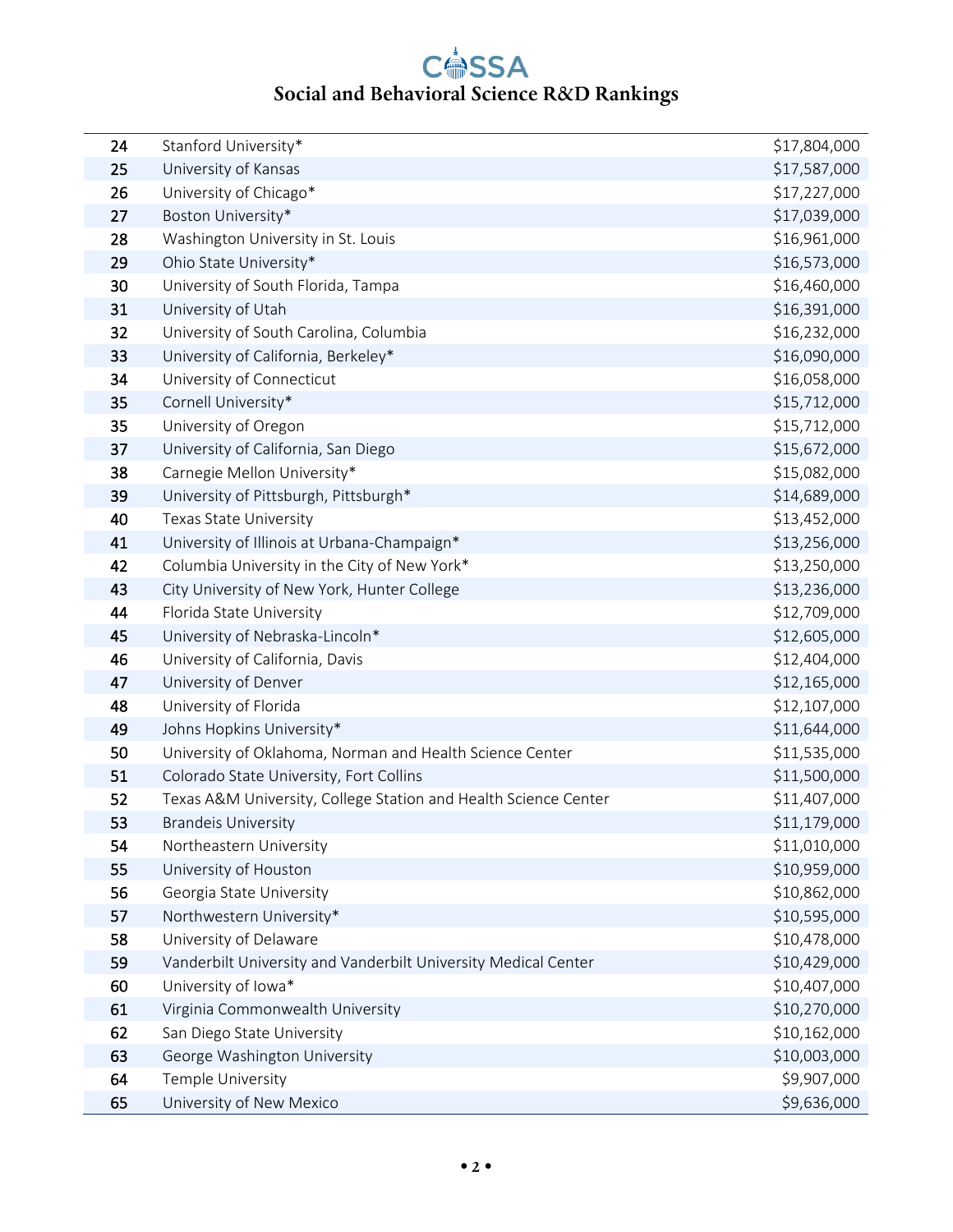| 24 | Stanford University*                                            | \$17,804,000 |
|----|-----------------------------------------------------------------|--------------|
| 25 | University of Kansas                                            | \$17,587,000 |
| 26 | University of Chicago*                                          | \$17,227,000 |
| 27 | Boston University*                                              | \$17,039,000 |
| 28 | Washington University in St. Louis                              | \$16,961,000 |
| 29 | Ohio State University*                                          | \$16,573,000 |
| 30 | University of South Florida, Tampa                              | \$16,460,000 |
| 31 | University of Utah                                              | \$16,391,000 |
| 32 | University of South Carolina, Columbia                          | \$16,232,000 |
| 33 | University of California, Berkeley*                             | \$16,090,000 |
| 34 | University of Connecticut                                       | \$16,058,000 |
| 35 | Cornell University*                                             | \$15,712,000 |
| 35 | University of Oregon                                            | \$15,712,000 |
| 37 | University of California, San Diego                             | \$15,672,000 |
| 38 | Carnegie Mellon University*                                     | \$15,082,000 |
| 39 | University of Pittsburgh, Pittsburgh*                           | \$14,689,000 |
| 40 | Texas State University                                          | \$13,452,000 |
| 41 | University of Illinois at Urbana-Champaign*                     | \$13,256,000 |
| 42 | Columbia University in the City of New York*                    | \$13,250,000 |
| 43 | City University of New York, Hunter College                     | \$13,236,000 |
| 44 | Florida State University                                        | \$12,709,000 |
| 45 | University of Nebraska-Lincoln*                                 | \$12,605,000 |
| 46 | University of California, Davis                                 | \$12,404,000 |
| 47 | University of Denver                                            | \$12,165,000 |
| 48 | University of Florida                                           | \$12,107,000 |
| 49 | Johns Hopkins University*                                       | \$11,644,000 |
| 50 | University of Oklahoma, Norman and Health Science Center        | \$11,535,000 |
| 51 | Colorado State University, Fort Collins                         | \$11,500,000 |
| 52 | Texas A&M University, College Station and Health Science Center | \$11,407,000 |
| 53 | <b>Brandeis University</b>                                      | \$11,179,000 |
| 54 | Northeastern University                                         | \$11,010,000 |
| 55 | University of Houston                                           | \$10,959,000 |
| 56 | Georgia State University                                        | \$10,862,000 |
| 57 | Northwestern University*                                        | \$10,595,000 |
| 58 | University of Delaware                                          | \$10,478,000 |
| 59 | Vanderbilt University and Vanderbilt University Medical Center  | \$10,429,000 |
| 60 | University of Iowa*                                             | \$10,407,000 |
| 61 | Virginia Commonwealth University                                | \$10,270,000 |
| 62 | San Diego State University                                      | \$10,162,000 |
| 63 | George Washington University                                    | \$10,003,000 |
| 64 | Temple University                                               | \$9,907,000  |
| 65 | University of New Mexico                                        | \$9,636,000  |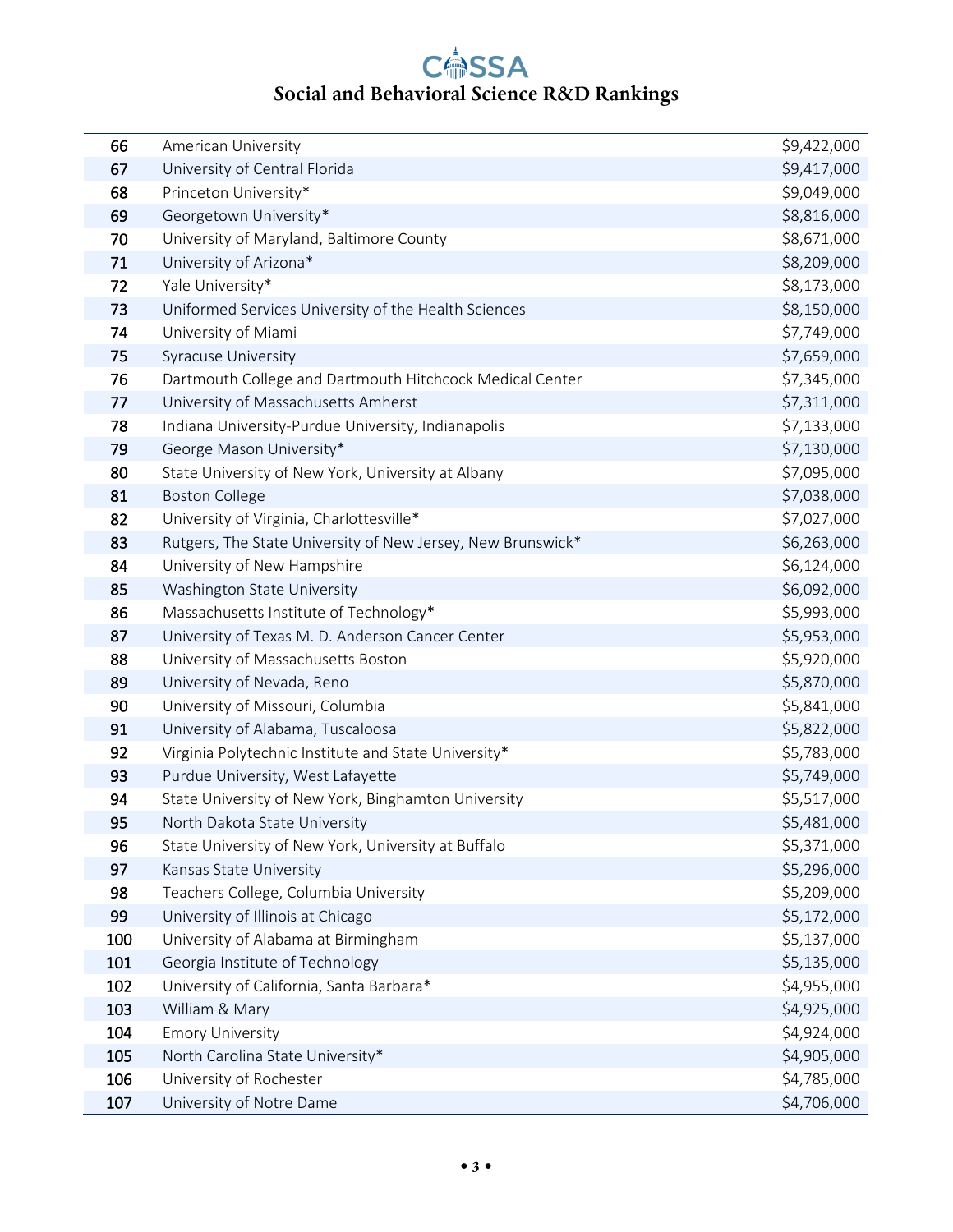| 66  | American University                                         | \$9,422,000 |
|-----|-------------------------------------------------------------|-------------|
| 67  | University of Central Florida                               | \$9,417,000 |
| 68  | Princeton University*                                       | \$9,049,000 |
| 69  | Georgetown University*                                      | \$8,816,000 |
| 70  | University of Maryland, Baltimore County                    | \$8,671,000 |
| 71  | University of Arizona*                                      | \$8,209,000 |
| 72  | Yale University*                                            | \$8,173,000 |
| 73  | Uniformed Services University of the Health Sciences        | \$8,150,000 |
| 74  | University of Miami                                         | \$7,749,000 |
| 75  | Syracuse University                                         | \$7,659,000 |
| 76  | Dartmouth College and Dartmouth Hitchcock Medical Center    | \$7,345,000 |
| 77  | University of Massachusetts Amherst                         | \$7,311,000 |
| 78  | Indiana University-Purdue University, Indianapolis          | \$7,133,000 |
| 79  | George Mason University*                                    | \$7,130,000 |
| 80  | State University of New York, University at Albany          | \$7,095,000 |
| 81  | <b>Boston College</b>                                       | \$7,038,000 |
| 82  | University of Virginia, Charlottesville*                    | \$7,027,000 |
| 83  | Rutgers, The State University of New Jersey, New Brunswick* | \$6,263,000 |
| 84  | University of New Hampshire                                 | \$6,124,000 |
| 85  | Washington State University                                 | \$6,092,000 |
| 86  | Massachusetts Institute of Technology*                      | \$5,993,000 |
| 87  | University of Texas M. D. Anderson Cancer Center            | \$5,953,000 |
| 88  | University of Massachusetts Boston                          | \$5,920,000 |
| 89  | University of Nevada, Reno                                  | \$5,870,000 |
| 90  | University of Missouri, Columbia                            | \$5,841,000 |
| 91  | University of Alabama, Tuscaloosa                           | \$5,822,000 |
| 92  | Virginia Polytechnic Institute and State University*        | \$5,783,000 |
| 93  | Purdue University, West Lafayette                           | \$5,749,000 |
| 94  | State University of New York, Binghamton University         | \$5,517,000 |
| 95  | North Dakota State University                               | \$5,481,000 |
| 96  | State University of New York, University at Buffalo         | \$5,371,000 |
| 97  | Kansas State University                                     | \$5,296,000 |
| 98  | Teachers College, Columbia University                       | \$5,209,000 |
| 99  | University of Illinois at Chicago                           | \$5,172,000 |
| 100 | University of Alabama at Birmingham                         | \$5,137,000 |
| 101 | Georgia Institute of Technology                             | \$5,135,000 |
| 102 | University of California, Santa Barbara*                    | \$4,955,000 |
| 103 | William & Mary                                              | \$4,925,000 |
| 104 | <b>Emory University</b>                                     | \$4,924,000 |
| 105 | North Carolina State University*                            | \$4,905,000 |
| 106 | University of Rochester                                     | \$4,785,000 |
| 107 | University of Notre Dame                                    | \$4,706,000 |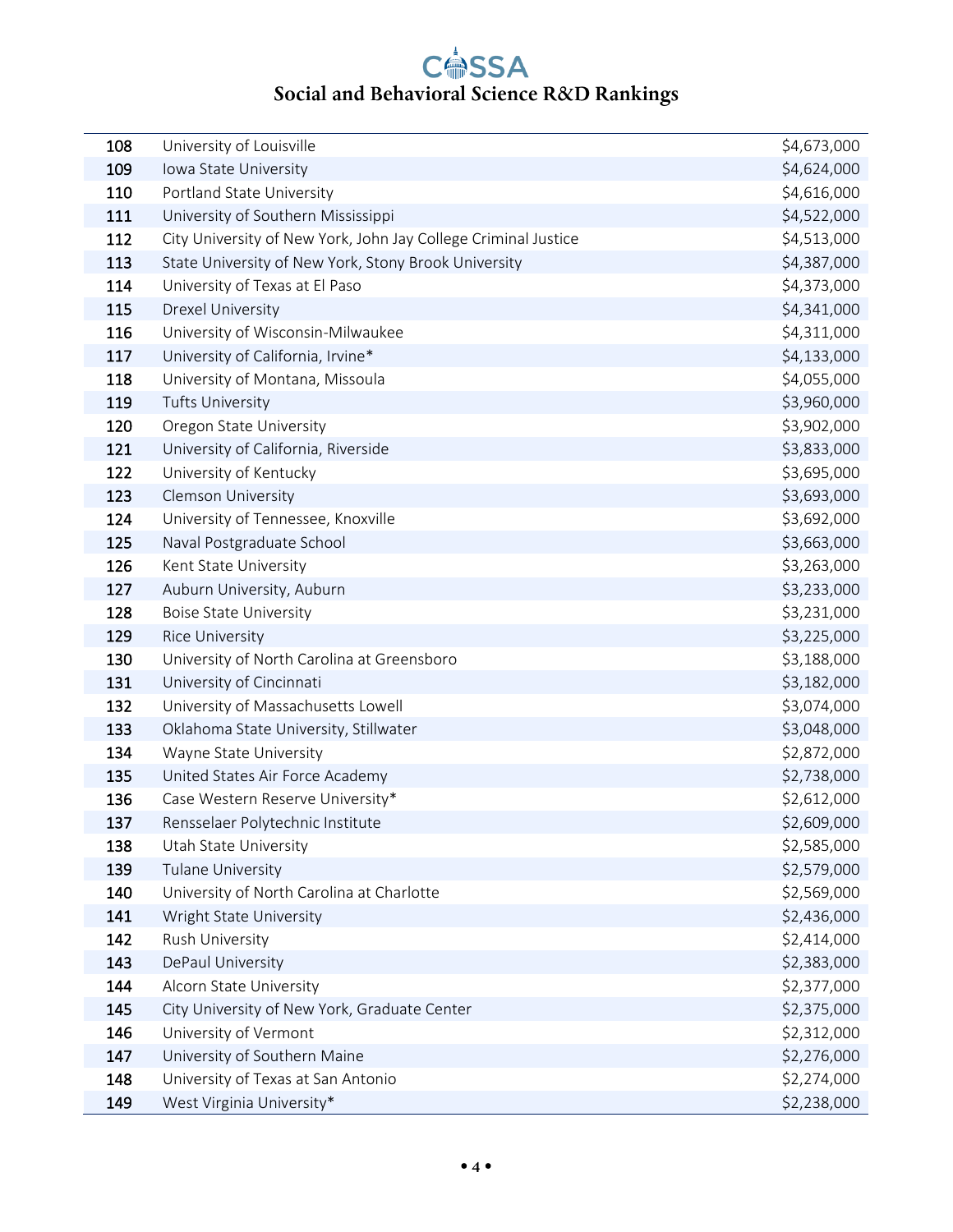| 108 | University of Louisville                                       | \$4,673,000 |
|-----|----------------------------------------------------------------|-------------|
| 109 | Iowa State University                                          | \$4,624,000 |
| 110 | Portland State University                                      | \$4,616,000 |
| 111 | University of Southern Mississippi                             | \$4,522,000 |
| 112 | City University of New York, John Jay College Criminal Justice | \$4,513,000 |
| 113 | State University of New York, Stony Brook University           | \$4,387,000 |
| 114 | University of Texas at El Paso                                 | \$4,373,000 |
| 115 | Drexel University                                              | \$4,341,000 |
| 116 | University of Wisconsin-Milwaukee                              | \$4,311,000 |
| 117 | University of California, Irvine*                              | \$4,133,000 |
| 118 | University of Montana, Missoula                                | \$4,055,000 |
| 119 | <b>Tufts University</b>                                        | \$3,960,000 |
| 120 | Oregon State University                                        | \$3,902,000 |
| 121 | University of California, Riverside                            | \$3,833,000 |
| 122 | University of Kentucky                                         | \$3,695,000 |
| 123 | Clemson University                                             | \$3,693,000 |
| 124 | University of Tennessee, Knoxville                             | \$3,692,000 |
| 125 | Naval Postgraduate School                                      | \$3,663,000 |
| 126 | Kent State University                                          | \$3,263,000 |
| 127 | Auburn University, Auburn                                      | \$3,233,000 |
| 128 | <b>Boise State University</b>                                  | \$3,231,000 |
| 129 | <b>Rice University</b>                                         | \$3,225,000 |
| 130 | University of North Carolina at Greensboro                     | \$3,188,000 |
| 131 | University of Cincinnati                                       | \$3,182,000 |
| 132 | University of Massachusetts Lowell                             | \$3,074,000 |
| 133 | Oklahoma State University, Stillwater                          | \$3,048,000 |
| 134 | Wayne State University                                         | \$2,872,000 |
| 135 | United States Air Force Academy                                | \$2,738,000 |
| 136 | Case Western Reserve University*                               | \$2,612,000 |
| 137 | Rensselaer Polytechnic Institute                               | \$2,609,000 |
| 138 | Utah State University                                          | \$2,585,000 |
| 139 | <b>Tulane University</b>                                       | \$2,579,000 |
| 140 | University of North Carolina at Charlotte                      | \$2,569,000 |
| 141 | Wright State University                                        | \$2,436,000 |
| 142 | Rush University                                                | \$2,414,000 |
| 143 | DePaul University                                              | \$2,383,000 |
| 144 | Alcorn State University                                        | \$2,377,000 |
| 145 | City University of New York, Graduate Center                   | \$2,375,000 |
| 146 | University of Vermont                                          | \$2,312,000 |
| 147 | University of Southern Maine                                   | \$2,276,000 |
| 148 | University of Texas at San Antonio                             | \$2,274,000 |
| 149 | West Virginia University*                                      | \$2,238,000 |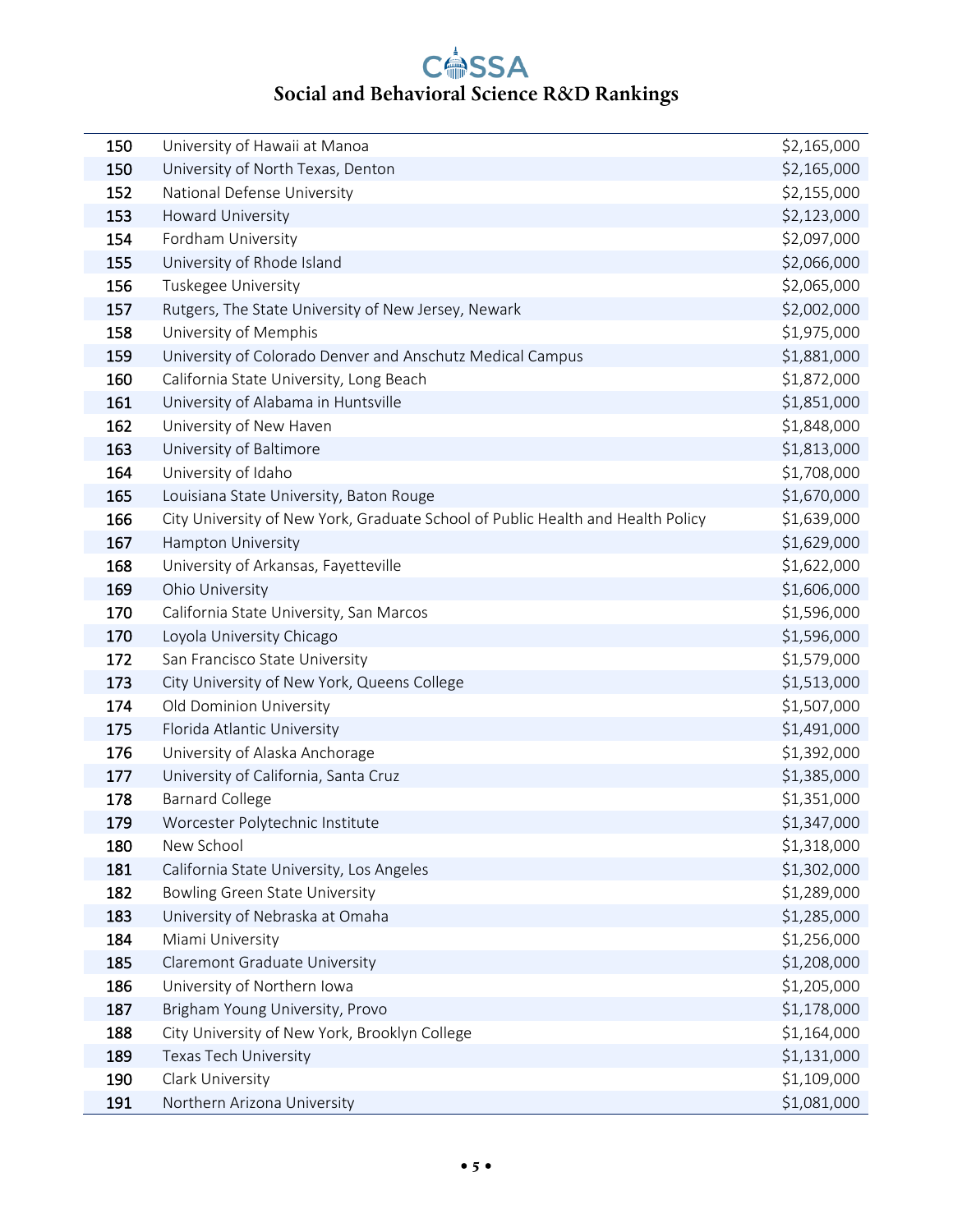| 150 | University of Hawaii at Manoa                                                   | \$2,165,000 |
|-----|---------------------------------------------------------------------------------|-------------|
| 150 | University of North Texas, Denton                                               | \$2,165,000 |
| 152 | National Defense University                                                     | \$2,155,000 |
| 153 | Howard University                                                               | \$2,123,000 |
| 154 | Fordham University                                                              | \$2,097,000 |
| 155 | University of Rhode Island                                                      | \$2,066,000 |
| 156 | Tuskegee University                                                             | \$2,065,000 |
| 157 | Rutgers, The State University of New Jersey, Newark                             | \$2,002,000 |
| 158 | University of Memphis                                                           | \$1,975,000 |
| 159 | University of Colorado Denver and Anschutz Medical Campus                       | \$1,881,000 |
| 160 | California State University, Long Beach                                         | \$1,872,000 |
| 161 | University of Alabama in Huntsville                                             | \$1,851,000 |
| 162 | University of New Haven                                                         | \$1,848,000 |
| 163 | University of Baltimore                                                         | \$1,813,000 |
| 164 | University of Idaho                                                             | \$1,708,000 |
| 165 | Louisiana State University, Baton Rouge                                         | \$1,670,000 |
| 166 | City University of New York, Graduate School of Public Health and Health Policy | \$1,639,000 |
| 167 | Hampton University                                                              | \$1,629,000 |
| 168 | University of Arkansas, Fayetteville                                            | \$1,622,000 |
| 169 | Ohio University                                                                 | \$1,606,000 |
| 170 | California State University, San Marcos                                         | \$1,596,000 |
| 170 | Loyola University Chicago                                                       | \$1,596,000 |
| 172 | San Francisco State University                                                  | \$1,579,000 |
| 173 | City University of New York, Queens College                                     | \$1,513,000 |
| 174 | Old Dominion University                                                         | \$1,507,000 |
| 175 | Florida Atlantic University                                                     | \$1,491,000 |
| 176 | University of Alaska Anchorage                                                  | \$1,392,000 |
| 177 | University of California, Santa Cruz                                            | \$1,385,000 |
| 178 | <b>Barnard College</b>                                                          | \$1,351,000 |
| 179 | Worcester Polytechnic Institute                                                 | \$1,347,000 |
| 180 | New School                                                                      | \$1,318,000 |
| 181 | California State University, Los Angeles                                        | \$1,302,000 |
| 182 | <b>Bowling Green State University</b>                                           | \$1,289,000 |
| 183 | University of Nebraska at Omaha                                                 | \$1,285,000 |
| 184 | Miami University                                                                | \$1,256,000 |
| 185 | Claremont Graduate University                                                   | \$1,208,000 |
| 186 | University of Northern Iowa                                                     | \$1,205,000 |
| 187 | Brigham Young University, Provo                                                 | \$1,178,000 |
| 188 | City University of New York, Brooklyn College                                   | \$1,164,000 |
| 189 | Texas Tech University                                                           | \$1,131,000 |
| 190 | Clark University                                                                | \$1,109,000 |
| 191 | Northern Arizona University                                                     | \$1,081,000 |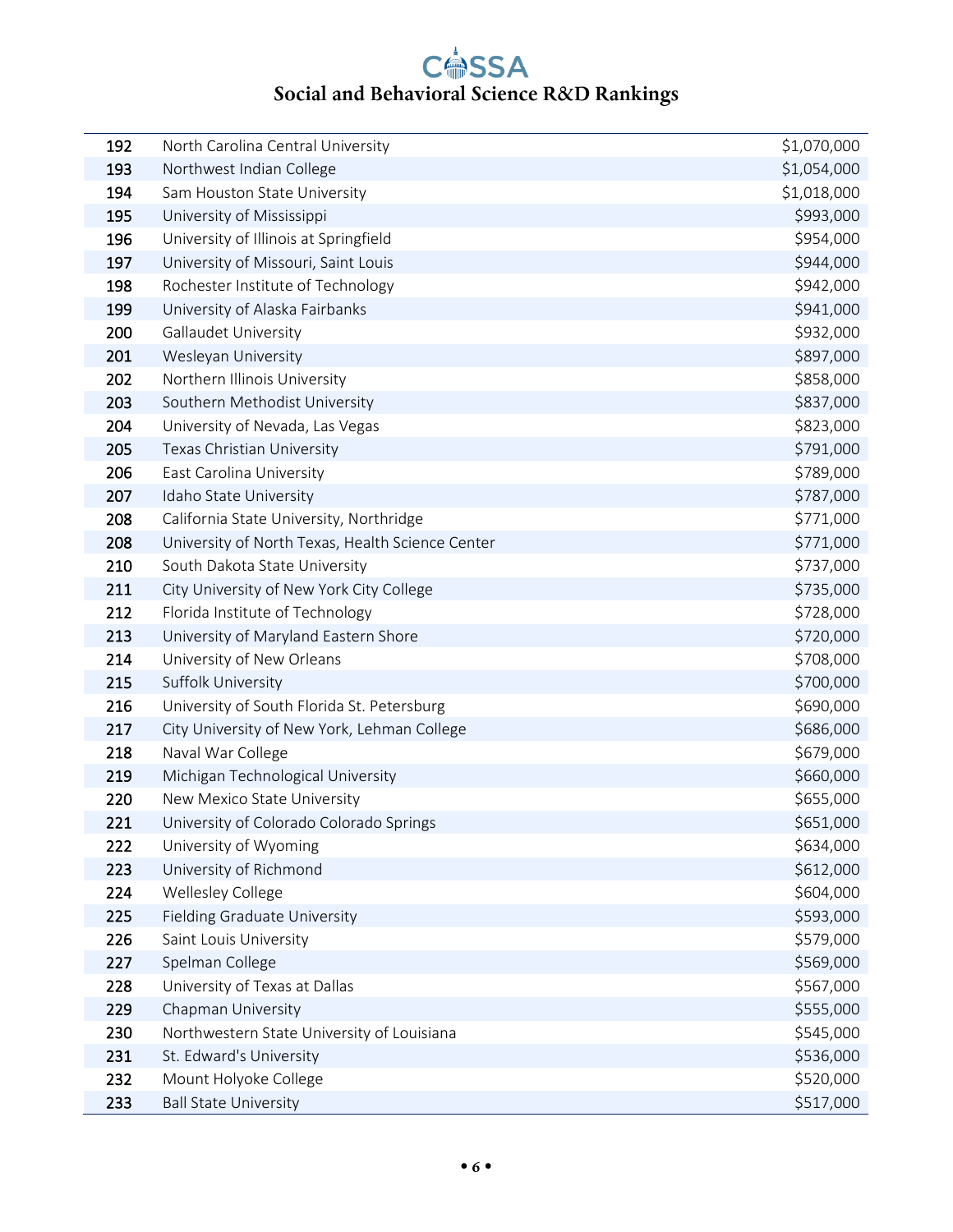| 192 | North Carolina Central University                | \$1,070,000 |
|-----|--------------------------------------------------|-------------|
| 193 | Northwest Indian College                         | \$1,054,000 |
| 194 | Sam Houston State University                     | \$1,018,000 |
| 195 | University of Mississippi                        | \$993,000   |
| 196 | University of Illinois at Springfield            | \$954,000   |
| 197 | University of Missouri, Saint Louis              | \$944,000   |
| 198 | Rochester Institute of Technology                | \$942,000   |
| 199 | University of Alaska Fairbanks                   | \$941,000   |
| 200 | Gallaudet University                             | \$932,000   |
| 201 | Wesleyan University                              | \$897,000   |
| 202 | Northern Illinois University                     | \$858,000   |
| 203 | Southern Methodist University                    | \$837,000   |
| 204 | University of Nevada, Las Vegas                  | \$823,000   |
| 205 | Texas Christian University                       | \$791,000   |
| 206 | East Carolina University                         | \$789,000   |
| 207 | Idaho State University                           | \$787,000   |
| 208 | California State University, Northridge          | \$771,000   |
| 208 | University of North Texas, Health Science Center | \$771,000   |
| 210 | South Dakota State University                    | \$737,000   |
| 211 | City University of New York City College         | \$735,000   |
| 212 | Florida Institute of Technology                  | \$728,000   |
| 213 | University of Maryland Eastern Shore             | \$720,000   |
| 214 | University of New Orleans                        | \$708,000   |
| 215 | Suffolk University                               | \$700,000   |
| 216 | University of South Florida St. Petersburg       | \$690,000   |
| 217 | City University of New York, Lehman College      | \$686,000   |
| 218 | Naval War College                                | \$679,000   |
| 219 | Michigan Technological University                | \$660,000   |
| 220 | New Mexico State University                      | \$655,000   |
| 221 | University of Colorado Colorado Springs          | \$651,000   |
| 222 | University of Wyoming                            | \$634,000   |
| 223 | University of Richmond                           | \$612,000   |
| 224 | Wellesley College                                | \$604,000   |
| 225 | <b>Fielding Graduate University</b>              | \$593,000   |
| 226 | Saint Louis University                           | \$579,000   |
| 227 | Spelman College                                  | \$569,000   |
| 228 | University of Texas at Dallas                    | \$567,000   |
| 229 | Chapman University                               | \$555,000   |
| 230 | Northwestern State University of Louisiana       | \$545,000   |
| 231 | St. Edward's University                          | \$536,000   |
| 232 | Mount Holyoke College                            | \$520,000   |
| 233 | <b>Ball State University</b>                     | \$517,000   |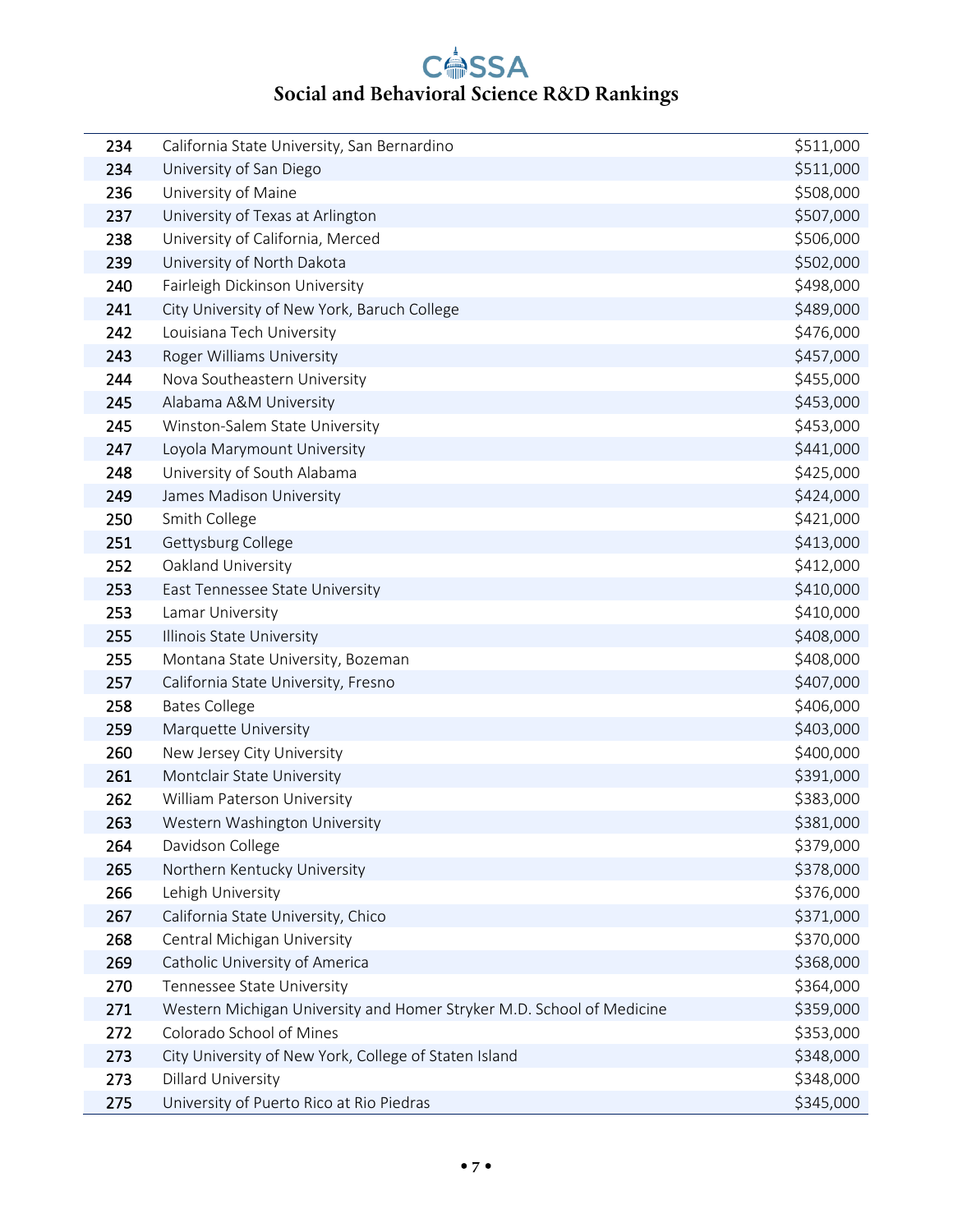| 234 | California State University, San Bernardino                           | \$511,000 |
|-----|-----------------------------------------------------------------------|-----------|
| 234 | University of San Diego                                               | \$511,000 |
| 236 | University of Maine                                                   | \$508,000 |
| 237 | University of Texas at Arlington                                      | \$507,000 |
| 238 | University of California, Merced                                      | \$506,000 |
| 239 | University of North Dakota                                            | \$502,000 |
| 240 | Fairleigh Dickinson University                                        | \$498,000 |
| 241 | City University of New York, Baruch College                           | \$489,000 |
| 242 | Louisiana Tech University                                             | \$476,000 |
| 243 | Roger Williams University                                             | \$457,000 |
| 244 | Nova Southeastern University                                          | \$455,000 |
| 245 | Alabama A&M University                                                | \$453,000 |
| 245 | Winston-Salem State University                                        | \$453,000 |
| 247 | Loyola Marymount University                                           | \$441,000 |
| 248 | University of South Alabama                                           | \$425,000 |
| 249 | James Madison University                                              | \$424,000 |
| 250 | Smith College                                                         | \$421,000 |
| 251 | Gettysburg College                                                    | \$413,000 |
| 252 | Oakland University                                                    | \$412,000 |
| 253 | East Tennessee State University                                       | \$410,000 |
| 253 | Lamar University                                                      | \$410,000 |
| 255 | Illinois State University                                             | \$408,000 |
| 255 | Montana State University, Bozeman                                     | \$408,000 |
| 257 | California State University, Fresno                                   | \$407,000 |
| 258 | <b>Bates College</b>                                                  | \$406,000 |
| 259 | Marquette University                                                  | \$403,000 |
| 260 | New Jersey City University                                            | \$400,000 |
| 261 | Montclair State University                                            | \$391,000 |
| 262 | William Paterson University                                           | \$383,000 |
| 263 | Western Washington University                                         | \$381,000 |
| 264 | Davidson College                                                      | \$379,000 |
| 265 | Northern Kentucky University                                          | \$378,000 |
| 266 | Lehigh University                                                     | \$376,000 |
| 267 | California State University, Chico                                    | \$371,000 |
| 268 | Central Michigan University                                           | \$370,000 |
| 269 | Catholic University of America                                        | \$368,000 |
| 270 | Tennessee State University                                            | \$364,000 |
| 271 | Western Michigan University and Homer Stryker M.D. School of Medicine | \$359,000 |
| 272 | Colorado School of Mines                                              | \$353,000 |
| 273 | City University of New York, College of Staten Island                 | \$348,000 |
| 273 | Dillard University                                                    | \$348,000 |
| 275 | University of Puerto Rico at Rio Piedras                              | \$345,000 |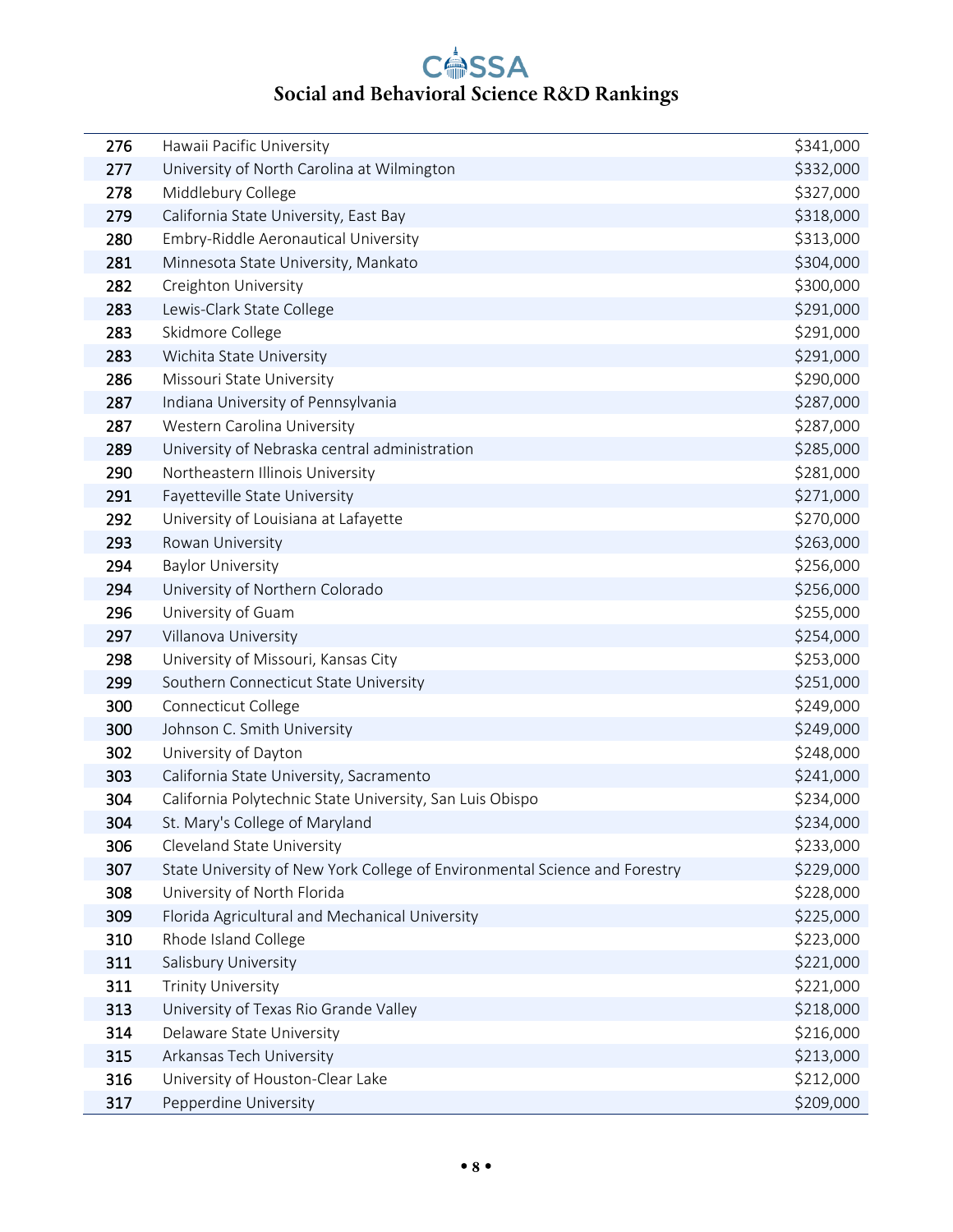| 276 | Hawaii Pacific University                                                  | \$341,000 |
|-----|----------------------------------------------------------------------------|-----------|
| 277 | University of North Carolina at Wilmington                                 | \$332,000 |
| 278 | Middlebury College                                                         | \$327,000 |
| 279 | California State University, East Bay                                      | \$318,000 |
| 280 | Embry-Riddle Aeronautical University                                       | \$313,000 |
| 281 | Minnesota State University, Mankato                                        | \$304,000 |
| 282 | Creighton University                                                       | \$300,000 |
| 283 | Lewis-Clark State College                                                  | \$291,000 |
| 283 | Skidmore College                                                           | \$291,000 |
| 283 | Wichita State University                                                   | \$291,000 |
| 286 | Missouri State University                                                  | \$290,000 |
| 287 | Indiana University of Pennsylvania                                         | \$287,000 |
| 287 | Western Carolina University                                                | \$287,000 |
| 289 | University of Nebraska central administration                              | \$285,000 |
| 290 | Northeastern Illinois University                                           | \$281,000 |
| 291 | Fayetteville State University                                              | \$271,000 |
| 292 | University of Louisiana at Lafayette                                       | \$270,000 |
| 293 | Rowan University                                                           | \$263,000 |
| 294 | <b>Baylor University</b>                                                   | \$256,000 |
| 294 | University of Northern Colorado                                            | \$256,000 |
| 296 | University of Guam                                                         | \$255,000 |
| 297 | Villanova University                                                       | \$254,000 |
| 298 | University of Missouri, Kansas City                                        | \$253,000 |
| 299 | Southern Connecticut State University                                      | \$251,000 |
| 300 | Connecticut College                                                        | \$249,000 |
| 300 | Johnson C. Smith University                                                | \$249,000 |
| 302 | University of Dayton                                                       | \$248,000 |
| 303 | California State University, Sacramento                                    | \$241,000 |
| 304 | California Polytechnic State University, San Luis Obispo                   | \$234,000 |
| 304 | St. Mary's College of Maryland                                             | \$234,000 |
| 306 | Cleveland State University                                                 | \$233,000 |
| 307 | State University of New York College of Environmental Science and Forestry | \$229,000 |
| 308 | University of North Florida                                                | \$228,000 |
| 309 | Florida Agricultural and Mechanical University                             | \$225,000 |
| 310 | Rhode Island College                                                       | \$223,000 |
| 311 | Salisbury University                                                       | \$221,000 |
| 311 | <b>Trinity University</b>                                                  | \$221,000 |
| 313 | University of Texas Rio Grande Valley                                      | \$218,000 |
| 314 | Delaware State University                                                  | \$216,000 |
| 315 | Arkansas Tech University                                                   | \$213,000 |
| 316 | University of Houston-Clear Lake                                           | \$212,000 |
| 317 | Pepperdine University                                                      | \$209,000 |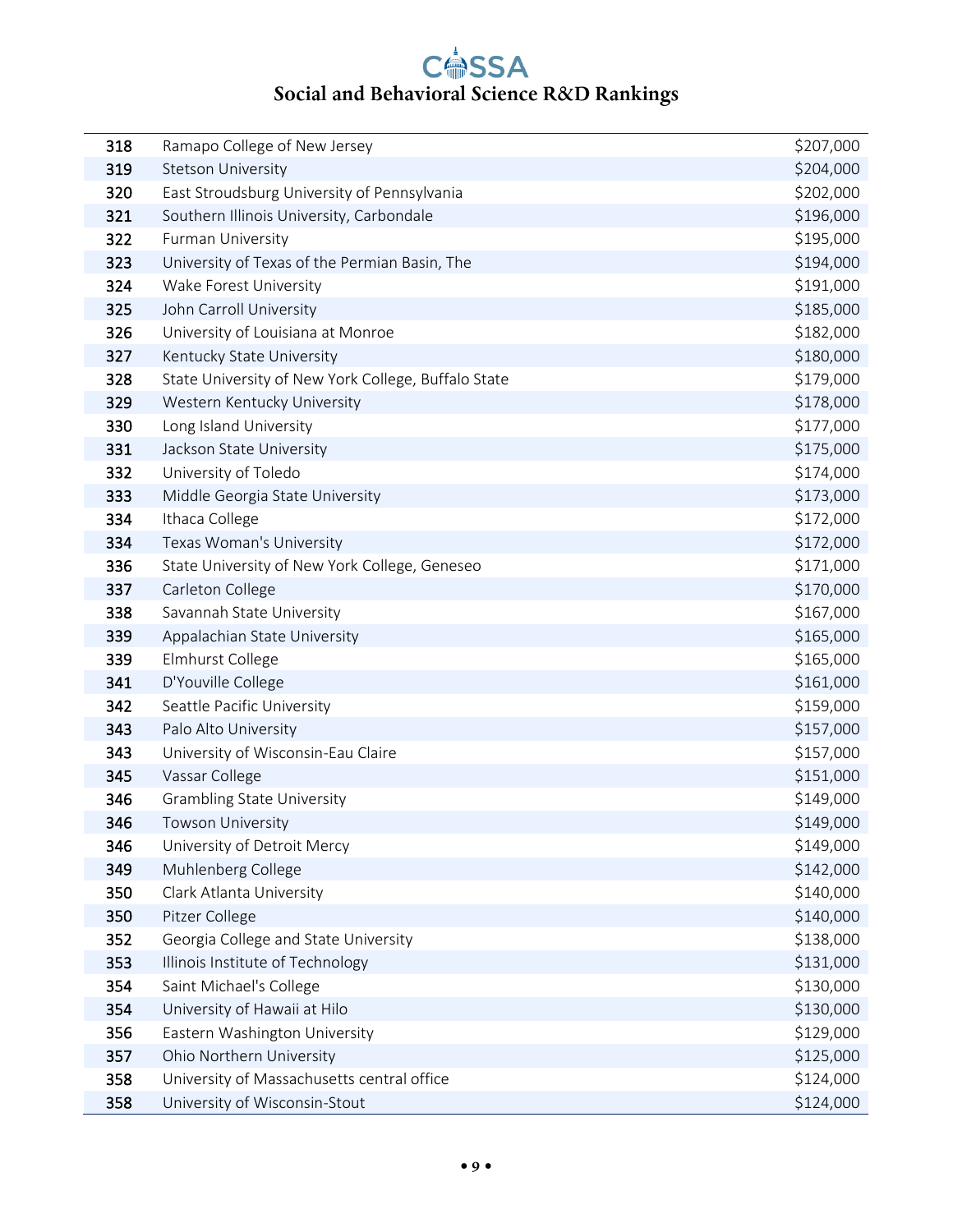| 318 | Ramapo College of New Jersey                        | \$207,000 |
|-----|-----------------------------------------------------|-----------|
| 319 | Stetson University                                  | \$204,000 |
| 320 | East Stroudsburg University of Pennsylvania         | \$202,000 |
| 321 | Southern Illinois University, Carbondale            | \$196,000 |
| 322 | Furman University                                   | \$195,000 |
| 323 | University of Texas of the Permian Basin, The       | \$194,000 |
| 324 | Wake Forest University                              | \$191,000 |
| 325 | John Carroll University                             | \$185,000 |
| 326 | University of Louisiana at Monroe                   | \$182,000 |
| 327 | Kentucky State University                           | \$180,000 |
| 328 | State University of New York College, Buffalo State | \$179,000 |
| 329 | Western Kentucky University                         | \$178,000 |
| 330 | Long Island University                              | \$177,000 |
| 331 | Jackson State University                            | \$175,000 |
| 332 | University of Toledo                                | \$174,000 |
| 333 | Middle Georgia State University                     | \$173,000 |
| 334 | Ithaca College                                      | \$172,000 |
| 334 | Texas Woman's University                            | \$172,000 |
| 336 | State University of New York College, Geneseo       | \$171,000 |
| 337 | Carleton College                                    | \$170,000 |
| 338 | Savannah State University                           | \$167,000 |
| 339 | Appalachian State University                        | \$165,000 |
| 339 | Elmhurst College                                    | \$165,000 |
| 341 | D'Youville College                                  | \$161,000 |
| 342 | Seattle Pacific University                          | \$159,000 |
| 343 | Palo Alto University                                | \$157,000 |
| 343 | University of Wisconsin-Eau Claire                  | \$157,000 |
| 345 | Vassar College                                      | \$151,000 |
| 346 | <b>Grambling State University</b>                   | \$149,000 |
| 346 | Towson University                                   | \$149,000 |
| 346 | University of Detroit Mercy                         | \$149,000 |
| 349 | Muhlenberg College                                  | \$142,000 |
| 350 | Clark Atlanta University                            | \$140,000 |
| 350 | Pitzer College                                      | \$140,000 |
| 352 | Georgia College and State University                | \$138,000 |
| 353 | Illinois Institute of Technology                    | \$131,000 |
| 354 | Saint Michael's College                             | \$130,000 |
| 354 | University of Hawaii at Hilo                        | \$130,000 |
| 356 | Eastern Washington University                       | \$129,000 |
| 357 | Ohio Northern University                            | \$125,000 |
| 358 | University of Massachusetts central office          | \$124,000 |
| 358 | University of Wisconsin-Stout                       | \$124,000 |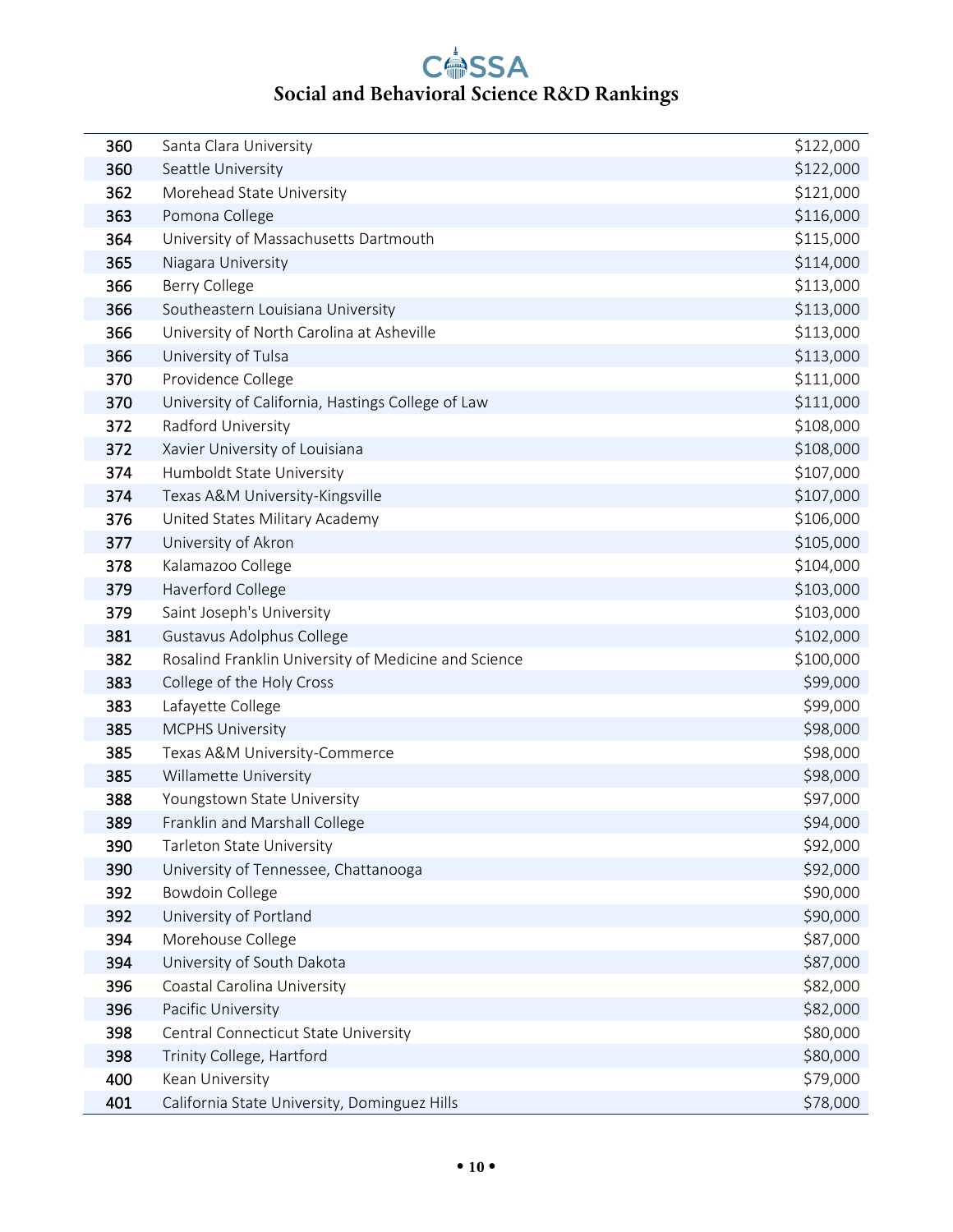| 360 | Santa Clara University                               | \$122,000 |
|-----|------------------------------------------------------|-----------|
| 360 | Seattle University                                   | \$122,000 |
| 362 | Morehead State University                            | \$121,000 |
| 363 | Pomona College                                       | \$116,000 |
| 364 | University of Massachusetts Dartmouth                | \$115,000 |
| 365 | Niagara University                                   | \$114,000 |
| 366 | Berry College                                        | \$113,000 |
| 366 | Southeastern Louisiana University                    | \$113,000 |
| 366 | University of North Carolina at Asheville            | \$113,000 |
| 366 | University of Tulsa                                  | \$113,000 |
| 370 | Providence College                                   | \$111,000 |
| 370 | University of California, Hastings College of Law    | \$111,000 |
| 372 | Radford University                                   | \$108,000 |
| 372 | Xavier University of Louisiana                       | \$108,000 |
| 374 | Humboldt State University                            | \$107,000 |
| 374 | Texas A&M University-Kingsville                      | \$107,000 |
| 376 | United States Military Academy                       | \$106,000 |
| 377 | University of Akron                                  | \$105,000 |
| 378 | Kalamazoo College                                    | \$104,000 |
| 379 | Haverford College                                    | \$103,000 |
| 379 | Saint Joseph's University                            | \$103,000 |
| 381 | Gustavus Adolphus College                            | \$102,000 |
| 382 | Rosalind Franklin University of Medicine and Science | \$100,000 |
| 383 | College of the Holy Cross                            | \$99,000  |
| 383 | Lafayette College                                    | \$99,000  |
| 385 | <b>MCPHS University</b>                              | \$98,000  |
| 385 | Texas A&M University-Commerce                        | \$98,000  |
| 385 | Willamette University                                | \$98,000  |
| 388 | Youngstown State University                          | \$97,000  |
| 389 | Franklin and Marshall College                        | \$94,000  |
| 390 | Tarleton State University                            | \$92,000  |
| 390 | University of Tennessee, Chattanooga                 | \$92,000  |
| 392 | <b>Bowdoin College</b>                               | \$90,000  |
| 392 | University of Portland                               | \$90,000  |
| 394 | Morehouse College                                    | \$87,000  |
| 394 | University of South Dakota                           | \$87,000  |
| 396 | Coastal Carolina University                          | \$82,000  |
| 396 | Pacific University                                   | \$82,000  |
| 398 | Central Connecticut State University                 | \$80,000  |
| 398 | Trinity College, Hartford                            | \$80,000  |
| 400 | Kean University                                      | \$79,000  |
| 401 | California State University, Dominguez Hills         | \$78,000  |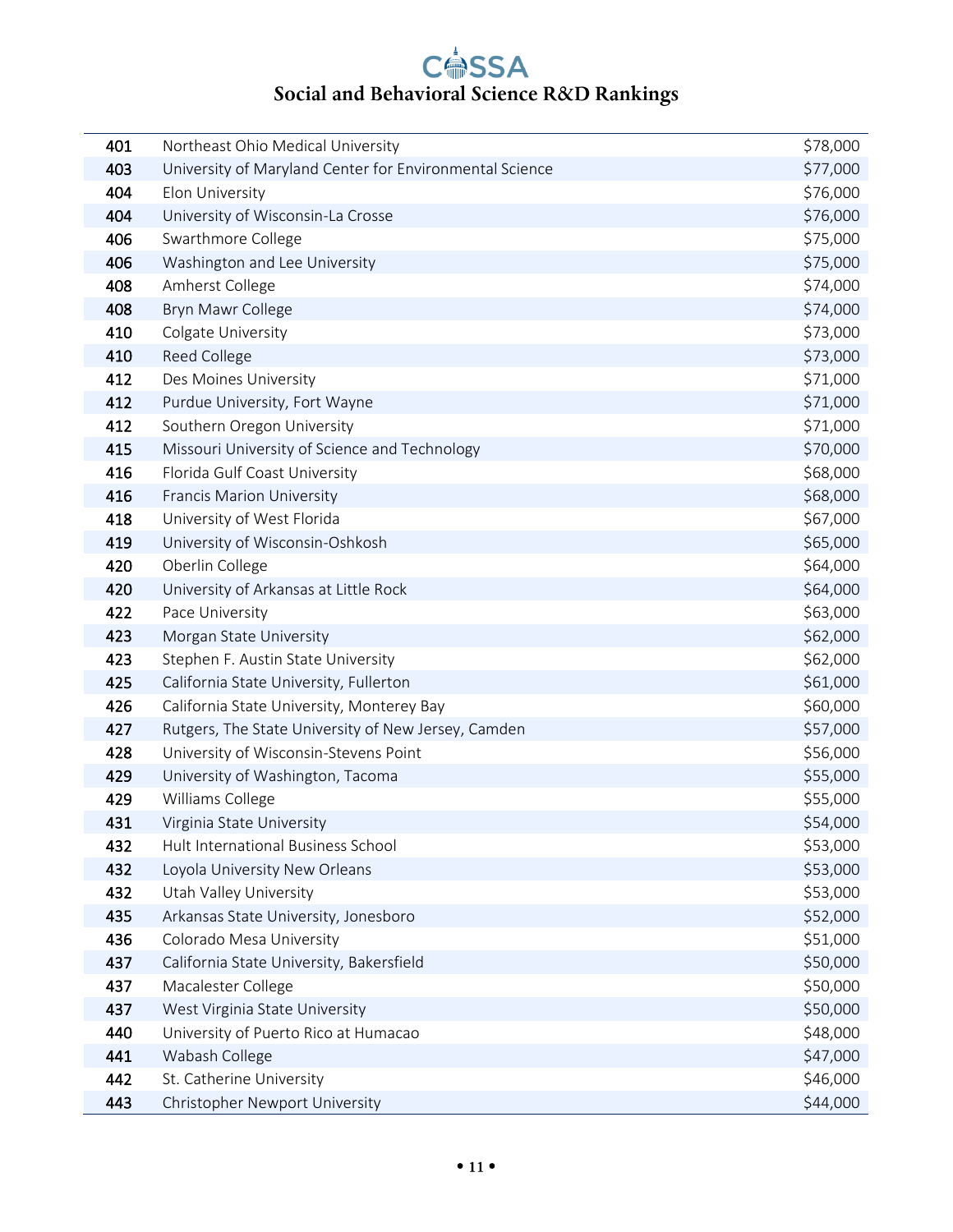| 401 | Northeast Ohio Medical University                       | \$78,000 |
|-----|---------------------------------------------------------|----------|
| 403 | University of Maryland Center for Environmental Science | \$77,000 |
| 404 | Elon University                                         | \$76,000 |
| 404 | University of Wisconsin-La Crosse                       | \$76,000 |
| 406 | Swarthmore College                                      | \$75,000 |
| 406 | Washington and Lee University                           | \$75,000 |
| 408 | Amherst College                                         | \$74,000 |
| 408 | Bryn Mawr College                                       | \$74,000 |
| 410 | Colgate University                                      | \$73,000 |
| 410 | Reed College                                            | \$73,000 |
| 412 | Des Moines University                                   | \$71,000 |
| 412 | Purdue University, Fort Wayne                           | \$71,000 |
| 412 | Southern Oregon University                              | \$71,000 |
| 415 | Missouri University of Science and Technology           | \$70,000 |
| 416 | Florida Gulf Coast University                           | \$68,000 |
| 416 | <b>Francis Marion University</b>                        | \$68,000 |
| 418 | University of West Florida                              | \$67,000 |
| 419 | University of Wisconsin-Oshkosh                         | \$65,000 |
| 420 | Oberlin College                                         | \$64,000 |
| 420 | University of Arkansas at Little Rock                   | \$64,000 |
| 422 | Pace University                                         | \$63,000 |
| 423 | Morgan State University                                 | \$62,000 |
| 423 | Stephen F. Austin State University                      | \$62,000 |
| 425 | California State University, Fullerton                  | \$61,000 |
| 426 | California State University, Monterey Bay               | \$60,000 |
| 427 | Rutgers, The State University of New Jersey, Camden     | \$57,000 |
| 428 | University of Wisconsin-Stevens Point                   | \$56,000 |
| 429 | University of Washington, Tacoma                        | \$55,000 |
| 429 | Williams College                                        | \$55,000 |
| 431 | Virginia State University                               | \$54,000 |
| 432 | Hult International Business School                      | \$53,000 |
| 432 | Loyola University New Orleans                           | \$53,000 |
| 432 | Utah Valley University                                  | \$53,000 |
| 435 | Arkansas State University, Jonesboro                    | \$52,000 |
| 436 | Colorado Mesa University                                | \$51,000 |
| 437 | California State University, Bakersfield                | \$50,000 |
| 437 | Macalester College                                      | \$50,000 |
| 437 | West Virginia State University                          | \$50,000 |
| 440 | University of Puerto Rico at Humacao                    | \$48,000 |
| 441 | Wabash College                                          | \$47,000 |
| 442 | St. Catherine University                                | \$46,000 |
| 443 | Christopher Newport University                          | \$44,000 |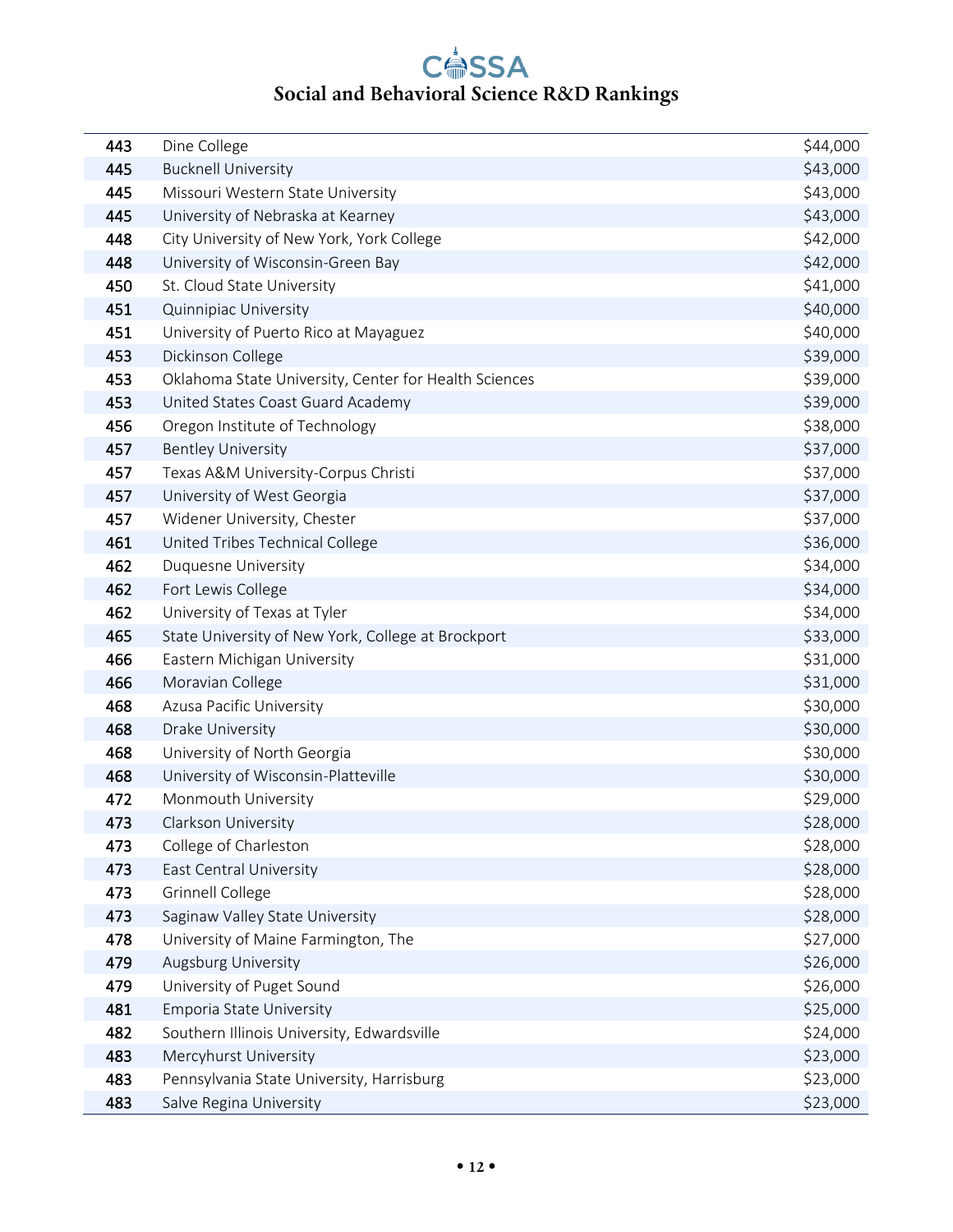| 443 | Dine College                                          | \$44,000 |
|-----|-------------------------------------------------------|----------|
| 445 | <b>Bucknell University</b>                            | \$43,000 |
| 445 | Missouri Western State University                     | \$43,000 |
| 445 | University of Nebraska at Kearney                     | \$43,000 |
| 448 | City University of New York, York College             | \$42,000 |
| 448 | University of Wisconsin-Green Bay                     | \$42,000 |
| 450 | St. Cloud State University                            | \$41,000 |
| 451 | Quinnipiac University                                 | \$40,000 |
| 451 | University of Puerto Rico at Mayaguez                 | \$40,000 |
| 453 | Dickinson College                                     | \$39,000 |
| 453 | Oklahoma State University, Center for Health Sciences | \$39,000 |
| 453 | United States Coast Guard Academy                     | \$39,000 |
| 456 | Oregon Institute of Technology                        | \$38,000 |
| 457 | <b>Bentley University</b>                             | \$37,000 |
| 457 | Texas A&M University-Corpus Christi                   | \$37,000 |
| 457 | University of West Georgia                            | \$37,000 |
| 457 | Widener University, Chester                           | \$37,000 |
| 461 | United Tribes Technical College                       | \$36,000 |
| 462 | Duquesne University                                   | \$34,000 |
| 462 | Fort Lewis College                                    | \$34,000 |
| 462 | University of Texas at Tyler                          | \$34,000 |
| 465 | State University of New York, College at Brockport    | \$33,000 |
| 466 | Eastern Michigan University                           | \$31,000 |
| 466 | Moravian College                                      | \$31,000 |
| 468 | Azusa Pacific University                              | \$30,000 |
| 468 | Drake University                                      | \$30,000 |
| 468 | University of North Georgia                           | \$30,000 |
| 468 | University of Wisconsin-Platteville                   | \$30,000 |
| 472 | Monmouth University                                   | \$29,000 |
| 473 | Clarkson University                                   | \$28,000 |
| 473 | College of Charleston                                 | \$28,000 |
| 473 | East Central University                               | \$28,000 |
| 473 | Grinnell College                                      | \$28,000 |
| 473 | Saginaw Valley State University                       | \$28,000 |
| 478 | University of Maine Farmington, The                   | \$27,000 |
| 479 | Augsburg University                                   | \$26,000 |
| 479 | University of Puget Sound                             | \$26,000 |
| 481 | Emporia State University                              | \$25,000 |
| 482 | Southern Illinois University, Edwardsville            | \$24,000 |
| 483 | Mercyhurst University                                 | \$23,000 |
| 483 | Pennsylvania State University, Harrisburg             | \$23,000 |
| 483 | Salve Regina University                               | \$23,000 |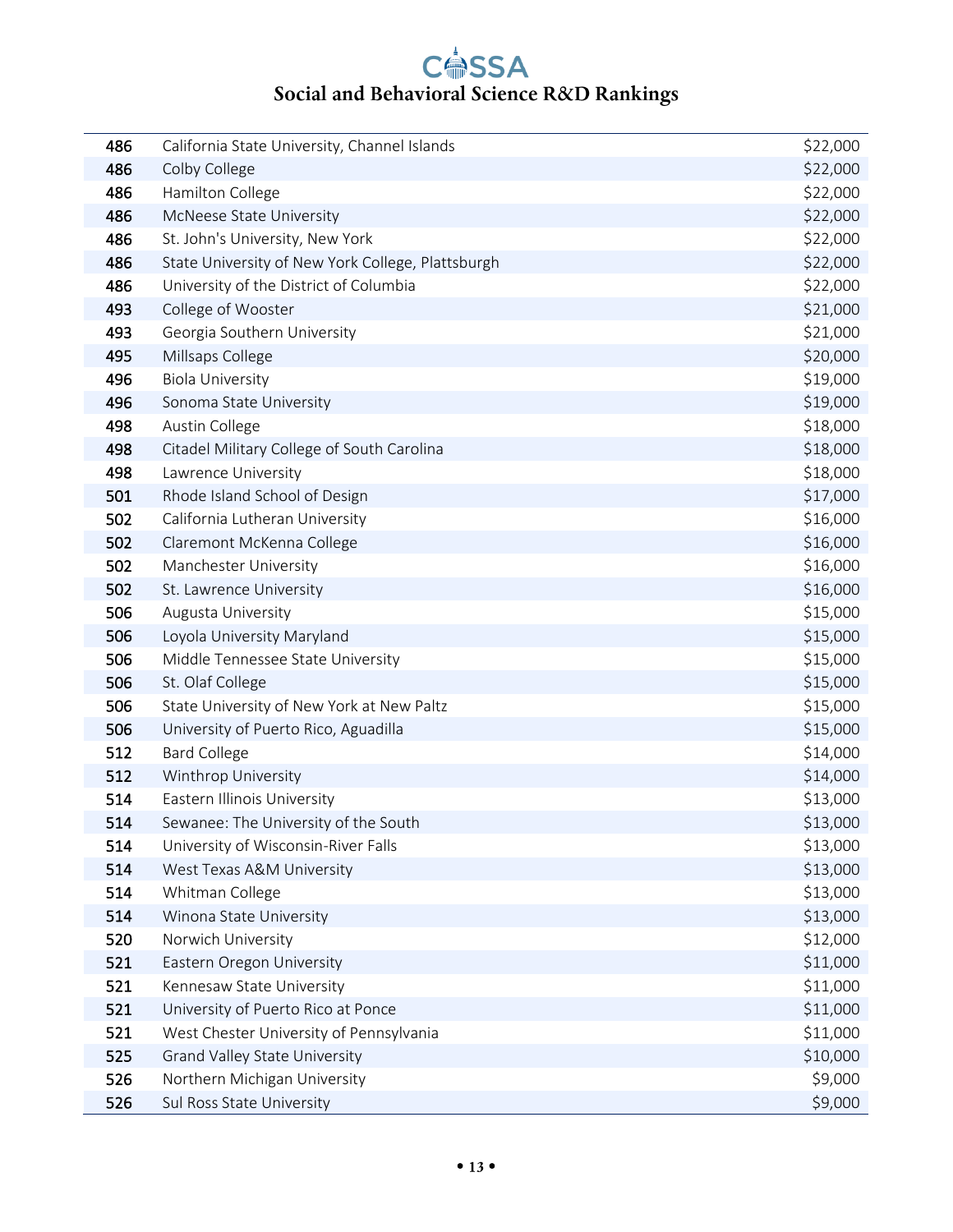| 486 | California State University, Channel Islands      | \$22,000 |
|-----|---------------------------------------------------|----------|
| 486 | Colby College                                     | \$22,000 |
| 486 | Hamilton College                                  | \$22,000 |
| 486 | McNeese State University                          | \$22,000 |
| 486 | St. John's University, New York                   | \$22,000 |
| 486 | State University of New York College, Plattsburgh | \$22,000 |
| 486 | University of the District of Columbia            | \$22,000 |
| 493 | College of Wooster                                | \$21,000 |
| 493 | Georgia Southern University                       | \$21,000 |
| 495 | Millsaps College                                  | \$20,000 |
| 496 | <b>Biola University</b>                           | \$19,000 |
| 496 | Sonoma State University                           | \$19,000 |
| 498 | Austin College                                    | \$18,000 |
| 498 | Citadel Military College of South Carolina        | \$18,000 |
| 498 | Lawrence University                               | \$18,000 |
| 501 | Rhode Island School of Design                     | \$17,000 |
| 502 | California Lutheran University                    | \$16,000 |
| 502 | Claremont McKenna College                         | \$16,000 |
| 502 | Manchester University                             | \$16,000 |
| 502 | St. Lawrence University                           | \$16,000 |
| 506 | Augusta University                                | \$15,000 |
| 506 | Loyola University Maryland                        | \$15,000 |
| 506 | Middle Tennessee State University                 | \$15,000 |
| 506 | St. Olaf College                                  | \$15,000 |
| 506 | State University of New York at New Paltz         | \$15,000 |
| 506 | University of Puerto Rico, Aguadilla              | \$15,000 |
| 512 | <b>Bard College</b>                               | \$14,000 |
| 512 | Winthrop University                               | \$14,000 |
| 514 | Eastern Illinois University                       | \$13,000 |
| 514 | Sewanee: The University of the South              | \$13,000 |
| 514 | University of Wisconsin-River Falls               | \$13,000 |
| 514 | West Texas A&M University                         | \$13,000 |
| 514 | Whitman College                                   | \$13,000 |
| 514 | Winona State University                           | \$13,000 |
| 520 | Norwich University                                | \$12,000 |
| 521 | Eastern Oregon University                         | \$11,000 |
| 521 | Kennesaw State University                         | \$11,000 |
| 521 | University of Puerto Rico at Ponce                | \$11,000 |
| 521 | West Chester University of Pennsylvania           | \$11,000 |
| 525 | <b>Grand Valley State University</b>              | \$10,000 |
| 526 | Northern Michigan University                      | \$9,000  |
| 526 | Sul Ross State University                         | \$9,000  |